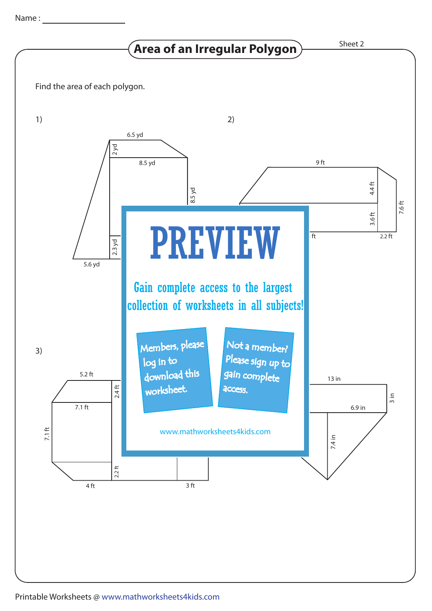